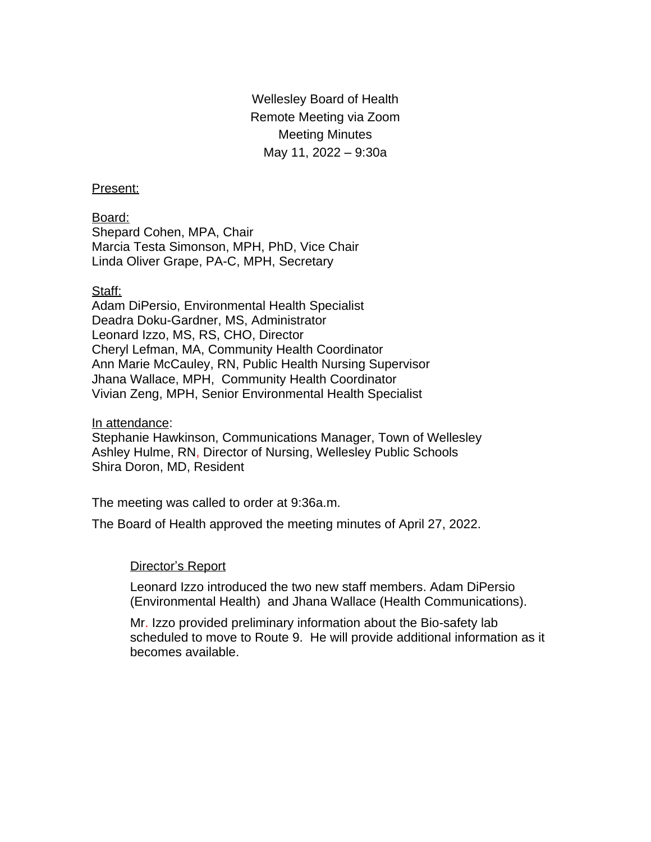Wellesley Board of Health Remote Meeting via Zoom Meeting Minutes May 11, 2022 – 9:30a

### Present:

Board: Shepard Cohen, MPA, Chair Marcia Testa Simonson, MPH, PhD, Vice Chair Linda Oliver Grape, PA-C, MPH, Secretary

### Staff:

Adam DiPersio, Environmental Health Specialist Deadra Doku-Gardner, MS, Administrator Leonard Izzo, MS, RS, CHO, Director Cheryl Lefman, MA, Community Health Coordinator Ann Marie McCauley, RN, Public Health Nursing Supervisor Jhana Wallace, MPH, Community Health Coordinator Vivian Zeng, MPH, Senior Environmental Health Specialist

### In attendance:

Stephanie Hawkinson, Communications Manager, Town of Wellesley Ashley Hulme, RN, Director of Nursing, Wellesley Public Schools Shira Doron, MD, Resident

The meeting was called to order at 9:36a.m.

The Board of Health approved the meeting minutes of April 27, 2022.

### Director's Report

Leonard Izzo introduced the two new staff members. Adam DiPersio (Environmental Health) and Jhana Wallace (Health Communications).

Mr. Izzo provided preliminary information about the Bio-safety lab scheduled to move to Route 9. He will provide additional information as it becomes available.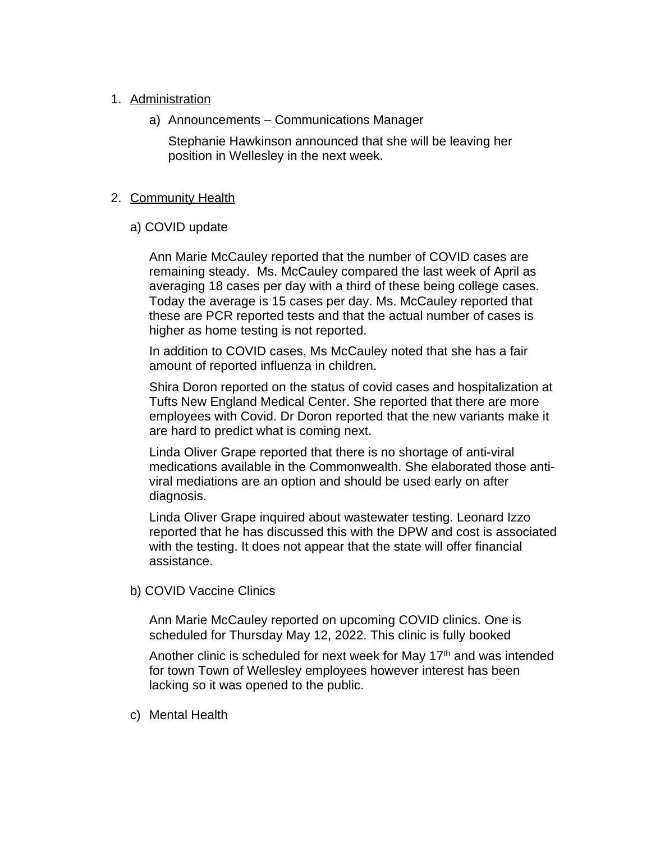# 1. Administration

a) Announcements – Communications Manager

Stephanie Hawkinson announced that she will be leaving her position in Wellesley in the next week.

## 2. Community Health

a) COVID update

Ann Marie McCauley reported that the number of COVID cases are remaining steady. Ms. McCauley compared the last week of April as averaging 18 cases per day with a third of these being college cases. Today the average is 15 cases per day. Ms. McCauley reported that these are PCR reported tests and that the actual number of cases is higher as home testing is not reported.

In addition to COVID cases, Ms McCauley noted that she has a fair amount of reported influenza in children.

Shira Doron reported on the status of covid cases and hospitalization at Tufts New England Medical Center. She reported that there are more employees with Covid. Dr Doron reported that the new variants make it are hard to predict what is coming next.

Linda Oliver Grape reported that there is no shortage of anti-viral medications available in the Commonwealth. She elaborated those antiviral mediations are an option and should be used early on after diagnosis.

Linda Oliver Grape inquired about wastewater testing. Leonard Izzo reported that he has discussed this with the DPW and cost is associated with the testing. It does not appear that the state will offer financial assistance.

b) COVID Vaccine Clinics

Ann Marie McCauley reported on upcoming COVID clinics. One is scheduled for Thursday May 12, 2022. This clinic is fully booked

Another clinic is scheduled for next week for May  $17<sup>th</sup>$  and was intended for town Town of Wellesley employees however interest has been lacking so it was opened to the public.

c) Mental Health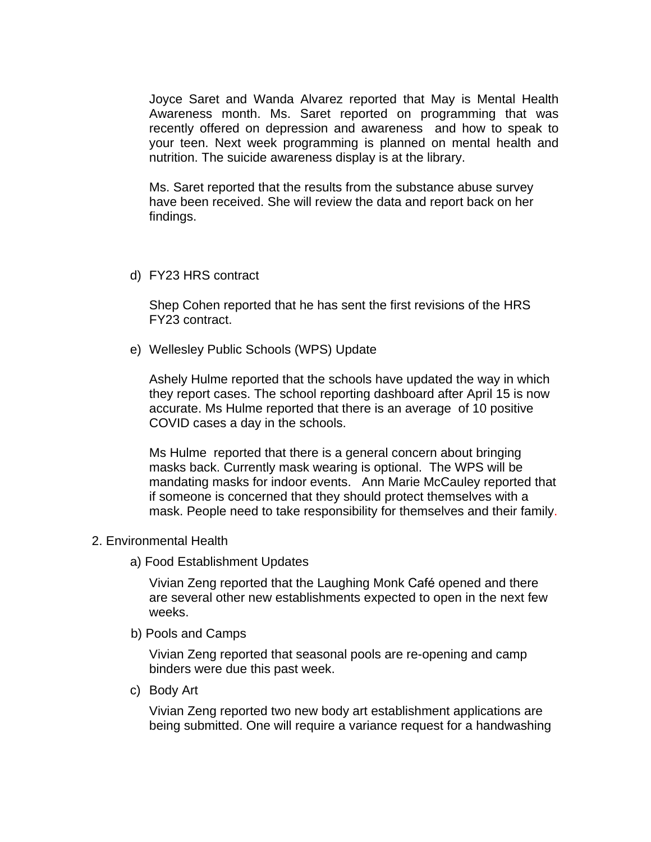Joyce Saret and Wanda Alvarez reported that May is Mental Health Awareness month. Ms. Saret reported on programming that was recently offered on depression and awareness and how to speak to your teen. Next week programming is planned on mental health and nutrition. The suicide awareness display is at the library.

Ms. Saret reported that the results from the substance abuse survey have been received. She will review the data and report back on her findings.

d) FY23 HRS contract

Shep Cohen reported that he has sent the first revisions of the HRS FY23 contract.

e) Wellesley Public Schools (WPS) Update

Ashely Hulme reported that the schools have updated the way in which they report cases. The school reporting dashboard after April 15 is now accurate. Ms Hulme reported that there is an average of 10 positive COVID cases a day in the schools.

Ms Hulme reported that there is a general concern about bringing masks back. Currently mask wearing is optional. The WPS will be mandating masks for indoor events. Ann Marie McCauley reported that if someone is concerned that they should protect themselves with a mask. People need to take responsibility for themselves and their family.

#### 2. Environmental Health

a) Food Establishment Updates

Vivian Zeng reported that the Laughing Monk Café opened and there are several other new establishments expected to open in the next few weeks.

b) Pools and Camps

Vivian Zeng reported that seasonal pools are re-opening and camp binders were due this past week.

c) Body Art

Vivian Zeng reported two new body art establishment applications are being submitted. One will require a variance request for a handwashing